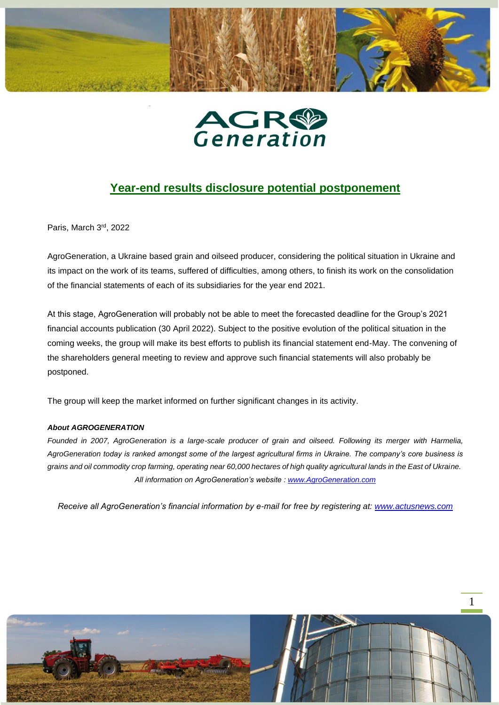



## **Year-end results disclosure potential postponement**

Paris, March 3rd, 2022

AgroGeneration, a Ukraine based grain and oilseed producer, considering the political situation in Ukraine and its impact on the work of its teams, suffered of difficulties, among others, to finish its work on the consolidation of the financial statements of each of its subsidiaries for the year end 2021.

At this stage, AgroGeneration will probably not be able to meet the forecasted deadline for the Group's 2021 financial accounts publication (30 April 2022). Subject to the positive evolution of the political situation in the coming weeks, the group will make its best efforts to publish its financial statement end-May. The convening of the shareholders general meeting to review and approve such financial statements will also probably be postponed.

The group will keep the market informed on further significant changes in its activity.

## *About AGROGENERATION*

*Founded in 2007, AgroGeneration is a large-scale producer of grain and oilseed. Following its merger with Harmelia, AgroGeneration today is ranked amongst some of the largest agricultural firms in Ukraine. The company's core business is grains and oil commodity crop farming, operating near 60,000 hectares of high quality agricultural lands in the East of Ukraine. All information on AgroGeneration's website : [www.AgroGeneration.com](http://www.agrogeneration.com/)*

*Receive all AgroGeneration's financial information by e-mail for free by registering at: [www.actusnews.com](http://www.actusnews.com/)*